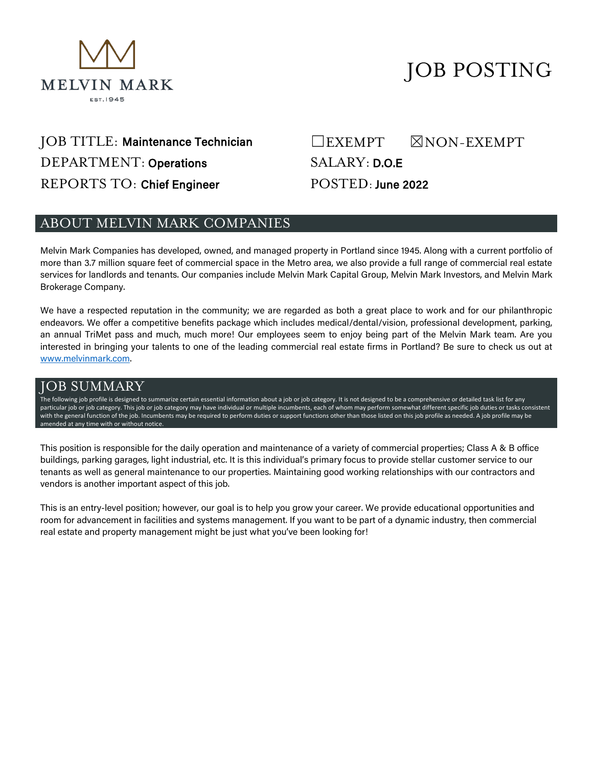

# JOB POSTING

## JOB TITLE: Maintenance Technician DEPARTMENT: Operations REPORTS TO: Chief Engineer

## ☐EXEMPT ☒NON-EXEMPT SALARY: D.O.E

POSTED: June 2022

#### ABOUT MELVIN MARK COMPANIES

Melvin Mark Companies has developed, owned, and managed property in Portland since 1945. Along with a current portfolio of more than 3.7 million square feet of commercial space in the Metro area, we also provide a full range of commercial real estate services for landlords and tenants. Our companies include Melvin Mark Capital Group, Melvin Mark Investors, and Melvin Mark Brokerage Company.

We have a respected reputation in the community; we are regarded as both a great place to work and for our philanthropic endeavors. We offer a competitive benefits package which includes medical/dental/vision, professional development, parking, an annual TriMet pass and much, much more! Our employees seem to enjoy being part of the Melvin Mark team. Are you interested in bringing your talents to one of the leading commercial real estate firms in Portland? Be sure to check us out at [www.melvinmark.com.](http://www.melvinmark.com/)

#### JOB SUMMARY

The following job profile is designed to summarize certain essential information about a job or job category. It is not designed to be a comprehensive or detailed task list for any particular job or job category. This job or job category may have individual or multiple incumbents, each of whom may perform somewhat different specific job duties or tasks consistent with the general function of the job. Incumbents may be required to perform duties or support functions other than those listed on this job profile as needed. A job profile may be amended at any time with or without notice.

This position is responsible for the daily operation and maintenance of a variety of commercial properties; Class A & B office buildings, parking garages, light industrial, etc. It is this individual's primary focus to provide stellar customer service to our tenants as well as general maintenance to our properties. Maintaining good working relationships with our contractors and vendors is another important aspect of this job.

This is an entry-level position; however, our goal is to help you grow your career. We provide educational opportunities and room for advancement in facilities and systems management. If you want to be part of a dynamic industry, then commercial real estate and property management might be just what you've been looking for!